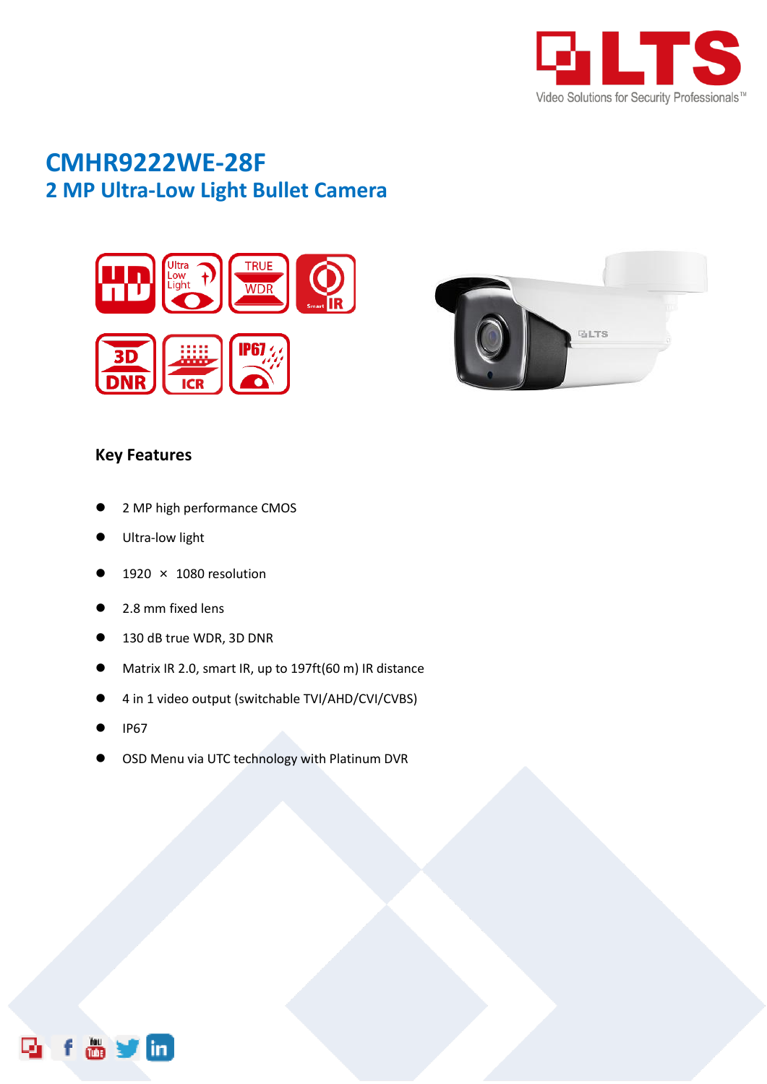

## **CMHR9222WE-28F 2 MP Ultra-Low Light Bullet Camera**





## **Key Features**

- 2 MP high performance CMOS
- Ultra-low light
- 1920 × 1080 resolution
- 2.8 mm fixed lens
- 130 dB true WDR, 3D DNR
- Matrix IR 2.0, smart IR, up to 197ft(60 m) IR distance
- 4 in 1 video output (switchable TVI/AHD/CVI/CVBS)
- IP67
- OSD Menu via UTC technology with Platinum DVR

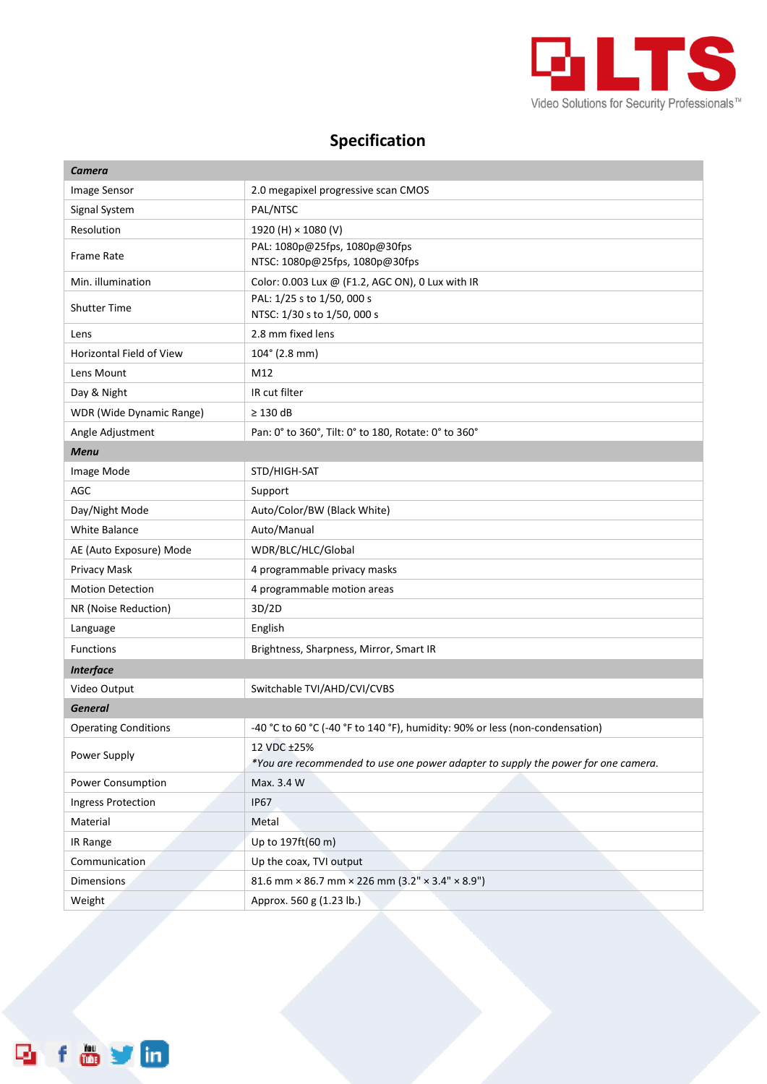

## **Specification**

| Camera                          |                                                                                                  |
|---------------------------------|--------------------------------------------------------------------------------------------------|
| Image Sensor                    | 2.0 megapixel progressive scan CMOS                                                              |
| Signal System                   | PAL/NTSC                                                                                         |
| Resolution                      | 1920 (H) × 1080 (V)                                                                              |
| <b>Frame Rate</b>               | PAL: 1080p@25fps, 1080p@30fps<br>NTSC: 1080p@25fps, 1080p@30fps                                  |
| Min. illumination               | Color: 0.003 Lux @ (F1.2, AGC ON), 0 Lux with IR                                                 |
| <b>Shutter Time</b>             | PAL: 1/25 s to 1/50, 000 s<br>NTSC: 1/30 s to 1/50, 000 s                                        |
| Lens                            | 2.8 mm fixed lens                                                                                |
| <b>Horizontal Field of View</b> | $104^{\circ}$ (2.8 mm)                                                                           |
| Lens Mount                      | M12                                                                                              |
| Day & Night                     | IR cut filter                                                                                    |
| WDR (Wide Dynamic Range)        | $\geq$ 130 dB                                                                                    |
| Angle Adjustment                | Pan: 0° to 360°, Tilt: 0° to 180, Rotate: 0° to 360°                                             |
| <b>Menu</b>                     |                                                                                                  |
| Image Mode                      | STD/HIGH-SAT                                                                                     |
| AGC                             | Support                                                                                          |
| Day/Night Mode                  | Auto/Color/BW (Black White)                                                                      |
| <b>White Balance</b>            | Auto/Manual                                                                                      |
| AE (Auto Exposure) Mode         | WDR/BLC/HLC/Global                                                                               |
| Privacy Mask                    | 4 programmable privacy masks                                                                     |
| <b>Motion Detection</b>         | 4 programmable motion areas                                                                      |
| NR (Noise Reduction)            | 3D/2D                                                                                            |
| Language                        | English                                                                                          |
| <b>Functions</b>                | Brightness, Sharpness, Mirror, Smart IR                                                          |
| <b>Interface</b>                |                                                                                                  |
| Video Output                    | Switchable TVI/AHD/CVI/CVBS                                                                      |
| <b>General</b>                  |                                                                                                  |
| <b>Operating Conditions</b>     | -40 °C to 60 °C (-40 °F to 140 °F), humidity: 90% or less (non-condensation)                     |
| Power Supply                    | 12 VDC ±25%<br>*You are recommended to use one power adapter to supply the power for one camera. |
| Power Consumption               | Max. 3.4 W                                                                                       |
| <b>Ingress Protection</b>       | <b>IP67</b>                                                                                      |
| Material                        | Metal                                                                                            |
| IR Range                        | Up to 197ft(60 m)                                                                                |
| Communication                   | Up the coax, TVI output                                                                          |
| Dimensions                      | 81.6 mm × 86.7 mm × 226 mm $(3.2" \times 3.4" \times 8.9")$                                      |
| Weight                          | Approx. 560 g (1.23 lb.)                                                                         |

f & y in Q,